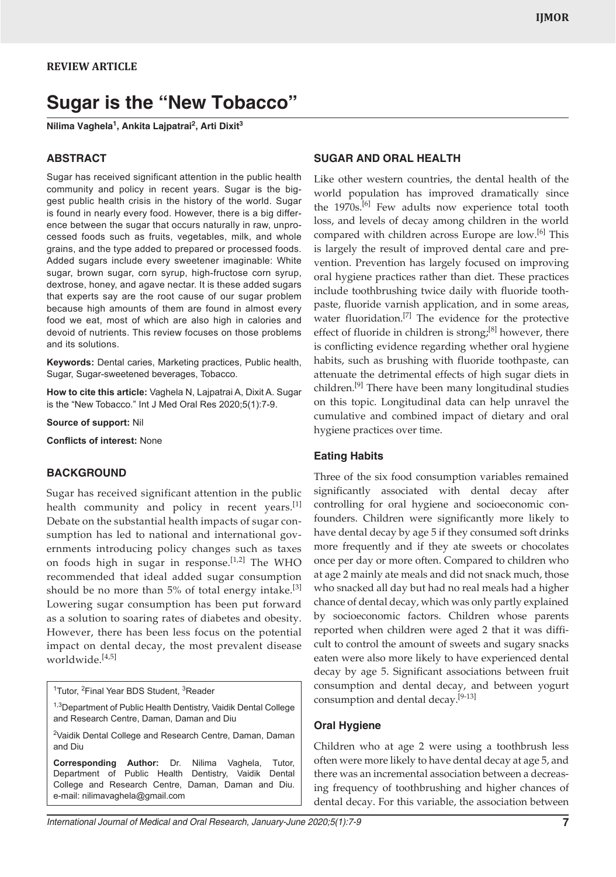# **Sugar is the "New Tobacco"**

**Nilima Vaghela1 , Ankita Lajpatrai2 , Arti Dixit3**

#### **ABSTRACT**

Sugar has received significant attention in the public health community and policy in recent years. Sugar is the biggest public health crisis in the history of the world. Sugar is found in nearly every food. However, there is a big difference between the sugar that occurs naturally in raw, unprocessed foods such as fruits, vegetables, milk, and whole grains, and the type added to prepared or processed foods. Added sugars include every sweetener imaginable: White sugar, brown sugar, corn syrup, high-fructose corn syrup, dextrose, honey, and agave nectar. It is these added sugars that experts say are the root cause of our sugar problem because high amounts of them are found in almost every food we eat, most of which are also high in calories and devoid of nutrients. This review focuses on those problems and its solutions.

**Keywords:** Dental caries, Marketing practices, Public health, Sugar, Sugar-sweetened beverages, Tobacco.

**How to cite this article:** Vaghela N, Lajpatrai A, Dixit A. Sugar is the "New Tobacco." Int J Med Oral Res 2020;5(1):7-9.

**Source of support:** Nil

**Conflicts of interest:** None

#### **BACKGROUND**

Sugar has received significant attention in the public health community and policy in recent years. $[1]$ Debate on the substantial health impacts of sugar consumption has led to national and international governments introducing policy changes such as taxes on foods high in sugar in response.[1,2] The WHO recommended that ideal added sugar consumption should be no more than  $5\%$  of total energy intake.<sup>[3]</sup> Lowering sugar consumption has been put forward as a solution to soaring rates of diabetes and obesity. However, there has been less focus on the potential impact on dental decay, the most prevalent disease worldwide.[4,5]

<sup>1</sup>Tutor, <sup>2</sup>Final Year BDS Student, <sup>3</sup>Reader

<sup>1,3</sup>Department of Public Health Dentistry, Vaidik Dental College and Research Centre, Daman, Daman and Diu

<sup>2</sup>Vaidik Dental College and Research Centre, Daman, Daman and Diu

**Corresponding Author:** Dr. Nilima Vaghela, Tutor, Department of Public Health Dentistry, Vaidik Dental College and Research Centre, Daman, Daman and Diu. e-mail: nilimavaghela@gmail.com

# **SUGAR AND ORAL HEALTH**

Like other western countries, the dental health of the world population has improved dramatically since the 1970s.<sup>[6]</sup> Few adults now experience total tooth loss, and levels of decay among children in the world compared with children across Europe are low.<sup>[6]</sup> This is largely the result of improved dental care and prevention. Prevention has largely focused on improving oral hygiene practices rather than diet. These practices include toothbrushing twice daily with fluoride toothpaste, fluoride varnish application, and in some areas, water fluoridation.<sup>[7]</sup> The evidence for the protective effect of fluoride in children is strong; $[8]$  however, there is conflicting evidence regarding whether oral hygiene habits, such as brushing with fluoride toothpaste, can attenuate the detrimental effects of high sugar diets in children.<sup>[9]</sup> There have been many longitudinal studies on this topic. Longitudinal data can help unravel the cumulative and combined impact of dietary and oral hygiene practices over time.

# **Eating Habits**

Three of the six food consumption variables remained significantly associated with dental decay after controlling for oral hygiene and socioeconomic confounders. Children were significantly more likely to have dental decay by age 5 if they consumed soft drinks more frequently and if they ate sweets or chocolates once per day or more often. Compared to children who at age 2 mainly ate meals and did not snack much, those who snacked all day but had no real meals had a higher chance of dental decay, which was only partly explained by socioeconomic factors. Children whose parents reported when children were aged 2 that it was difficult to control the amount of sweets and sugary snacks eaten were also more likely to have experienced dental decay by age 5. Significant associations between fruit consumption and dental decay, and between yogurt consumption and dental decay.<sup>[9-13]</sup>

### **Oral Hygiene**

Children who at age 2 were using a toothbrush less often were more likely to have dental decay at age 5, and there was an incremental association between a decreasing frequency of toothbrushing and higher chances of dental decay. For this variable, the association between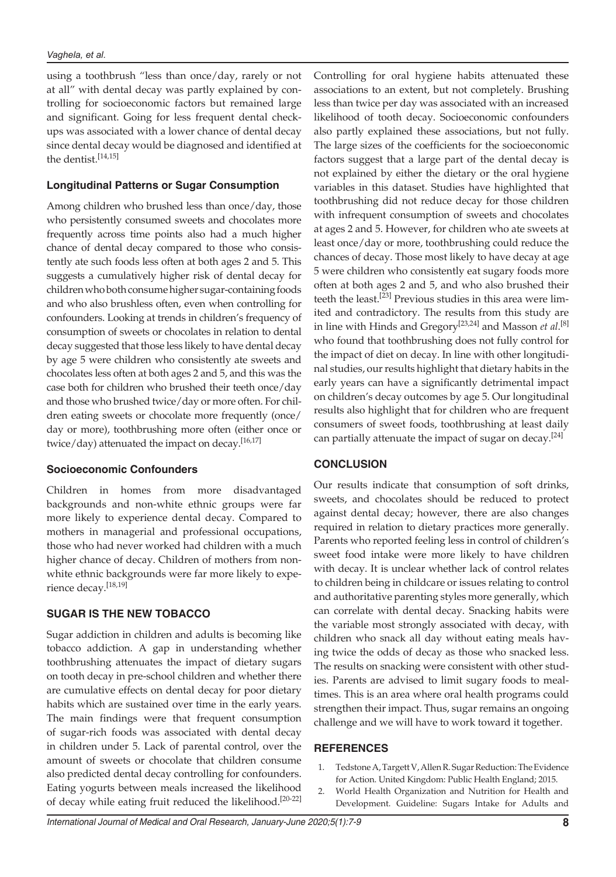using a toothbrush "less than once/day, rarely or not at all" with dental decay was partly explained by controlling for socioeconomic factors but remained large and significant. Going for less frequent dental checkups was associated with a lower chance of dental decay since dental decay would be diagnosed and identified at the dentist.<sup>[14,15]</sup>

# **Longitudinal Patterns or Sugar Consumption**

Among children who brushed less than once/day, those who persistently consumed sweets and chocolates more frequently across time points also had a much higher chance of dental decay compared to those who consistently ate such foods less often at both ages 2 and 5. This suggests a cumulatively higher risk of dental decay for children who both consume higher sugar-containing foods and who also brushless often, even when controlling for confounders. Looking at trends in children's frequency of consumption of sweets or chocolates in relation to dental decay suggested that those less likely to have dental decay by age 5 were children who consistently ate sweets and chocolates less often at both ages 2 and 5, and this was the case both for children who brushed their teeth once/day and those who brushed twice/day or more often. For children eating sweets or chocolate more frequently (once/ day or more), toothbrushing more often (either once or twice/day) attenuated the impact on decay.<sup>[16,17]</sup>

#### **Socioeconomic Confounders**

Children in homes from more disadvantaged backgrounds and non-white ethnic groups were far more likely to experience dental decay. Compared to mothers in managerial and professional occupations, those who had never worked had children with a much higher chance of decay. Children of mothers from nonwhite ethnic backgrounds were far more likely to experience decay.[18,19]

# **SUGAR IS THE NEW TOBACCO**

Sugar addiction in children and adults is becoming like tobacco addiction. A gap in understanding whether toothbrushing attenuates the impact of dietary sugars on tooth decay in pre-school children and whether there are cumulative effects on dental decay for poor dietary habits which are sustained over time in the early years. The main findings were that frequent consumption of sugar-rich foods was associated with dental decay in children under 5. Lack of parental control, over the amount of sweets or chocolate that children consume also predicted dental decay controlling for confounders. Eating yogurts between meals increased the likelihood of decay while eating fruit reduced the likelihood.<sup>[20-22]</sup>

Controlling for oral hygiene habits attenuated these associations to an extent, but not completely. Brushing less than twice per day was associated with an increased likelihood of tooth decay. Socioeconomic confounders also partly explained these associations, but not fully. The large sizes of the coefficients for the socioeconomic factors suggest that a large part of the dental decay is not explained by either the dietary or the oral hygiene variables in this dataset. Studies have highlighted that toothbrushing did not reduce decay for those children with infrequent consumption of sweets and chocolates at ages 2 and 5. However, for children who ate sweets at least once/day or more, toothbrushing could reduce the chances of decay. Those most likely to have decay at age 5 were children who consistently eat sugary foods more often at both ages 2 and 5, and who also brushed their teeth the least.[23] Previous studies in this area were limited and contradictory. The results from this study are in line with Hinds and Gregory[23,24] and Masson *et al*. [8] who found that toothbrushing does not fully control for the impact of diet on decay. In line with other longitudinal studies, our results highlight that dietary habits in the early years can have a significantly detrimental impact on children's decay outcomes by age 5. Our longitudinal results also highlight that for children who are frequent consumers of sweet foods, toothbrushing at least daily can partially attenuate the impact of sugar on decay.<sup>[24]</sup>

# **CONCLUSION**

Our results indicate that consumption of soft drinks, sweets, and chocolates should be reduced to protect against dental decay; however, there are also changes required in relation to dietary practices more generally. Parents who reported feeling less in control of children's sweet food intake were more likely to have children with decay. It is unclear whether lack of control relates to children being in childcare or issues relating to control and authoritative parenting styles more generally, which can correlate with dental decay. Snacking habits were the variable most strongly associated with decay, with children who snack all day without eating meals having twice the odds of decay as those who snacked less. The results on snacking were consistent with other studies. Parents are advised to limit sugary foods to mealtimes. This is an area where oral health programs could strengthen their impact. Thus, sugar remains an ongoing challenge and we will have to work toward it together.

#### **REFERENCES**

- 1. Tedstone A, Targett V, Allen R. Sugar Reduction: The Evidence for Action. United Kingdom: Public Health England; 2015.
- 2. World Health Organization and Nutrition for Health and Development. Guideline: Sugars Intake for Adults and